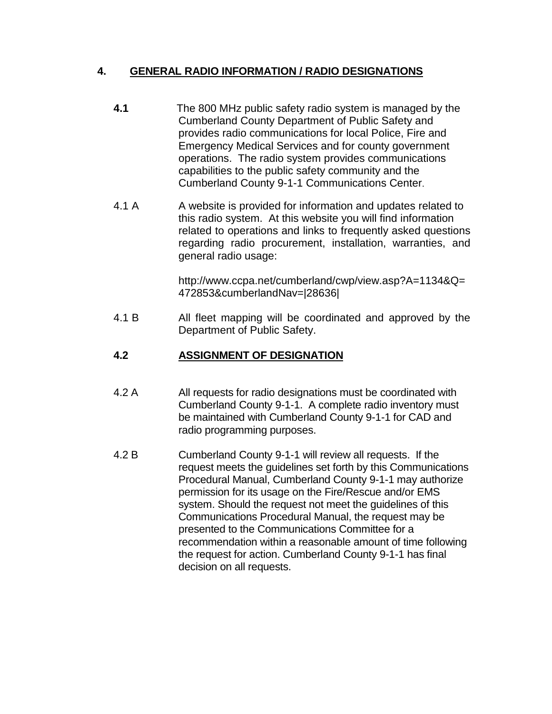## **4. GENERAL RADIO INFORMATION / RADIO DESIGNATIONS**

- **4.1** The 800 MHz public safety radio system is managed by the Cumberland County Department of Public Safety and provides radio communications for local Police, Fire and Emergency Medical Services and for county government operations. The radio system provides communications capabilities to the public safety community and the Cumberland County 9-1-1 Communications Center.
- 4.1 A A website is provided for information and updates related to this radio system. At this website you will find information related to operations and links to frequently asked questions regarding radio procurement, installation, warranties, and general radio usage:

http://www.ccpa.net/cumberland/cwp/view.asp?A=1134&Q= 472853&cumberlandNav=|28636|

4.1 B All fleet mapping will be coordinated and approved by the Department of Public Safety.

# **4.2 ASSIGNMENT OF DESIGNATION**

- 4.2 A All requests for radio designations must be coordinated with Cumberland County 9-1-1. A complete radio inventory must be maintained with Cumberland County 9-1-1 for CAD and radio programming purposes.
- 4.2 B Cumberland County 9-1-1 will review all requests. If the request meets the guidelines set forth by this Communications Procedural Manual, Cumberland County 9-1-1 may authorize permission for its usage on the Fire/Rescue and/or EMS system. Should the request not meet the guidelines of this Communications Procedural Manual, the request may be presented to the Communications Committee for a recommendation within a reasonable amount of time following the request for action. Cumberland County 9-1-1 has final decision on all requests.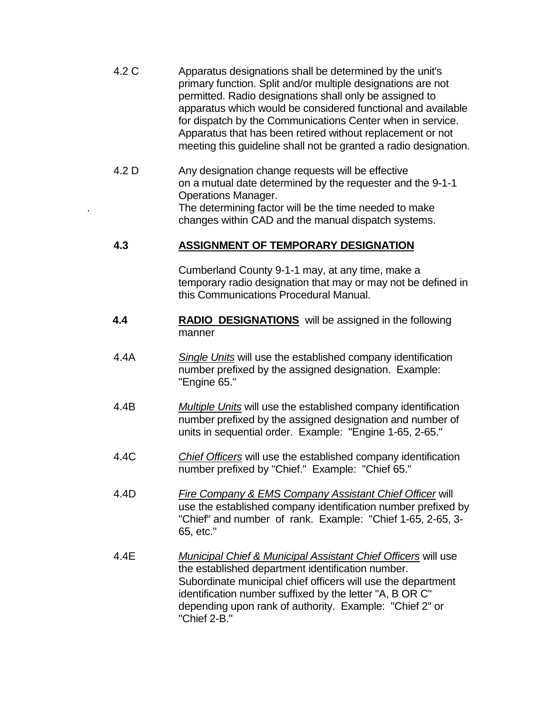| 4.2 C | Apparatus designations shall be determined by the unit's         |
|-------|------------------------------------------------------------------|
|       | primary function. Split and/or multiple designations are not     |
|       | permitted. Radio designations shall only be assigned to          |
|       | apparatus which would be considered functional and available     |
|       | for dispatch by the Communications Center when in service.       |
|       | Apparatus that has been retired without replacement or not       |
|       | meeting this guideline shall not be granted a radio designation. |

4.2 D Any designation change requests will be effective on a mutual date determined by the requester and the 9-1-1 Operations Manager. The determining factor will be the time needed to make changes within CAD and the manual dispatch systems.

## **4.3 ASSIGNMENT OF TEMPORARY DESIGNATION**

Cumberland County 9-1-1 may, at any time, make a temporary radio designation that may or may not be defined in this Communications Procedural Manual.

- **4.4 RADIO DESIGNATIONS** will be assigned in the following manner
- 4.4A *Single Units* will use the established company identification number prefixed by the assigned designation. Example: "Engine 65."
- 4.4B *Multiple Units* will use the established company identification number prefixed by the assigned designation and number of units in sequential order. Example: "Engine 1-65, 2-65."
- 4.4C *Chief Officers* will use the established company identification number prefixed by "Chief." Example: "Chief 65."
- 4.4D *Fire Company & EMS Company Assistant Chief Officer* will use the established company identification number prefixed by "Chief" and number of rank. Example: "Chief 1-65, 2-65, 3- 65, etc."
- 4.4E *Municipal Chief & Municipal Assistant Chief Officers* will use the established department identification number. Subordinate municipal chief officers will use the department identification number suffixed by the letter "A, B OR C" depending upon rank of authority. Example: "Chief 2" or "Chief 2-B."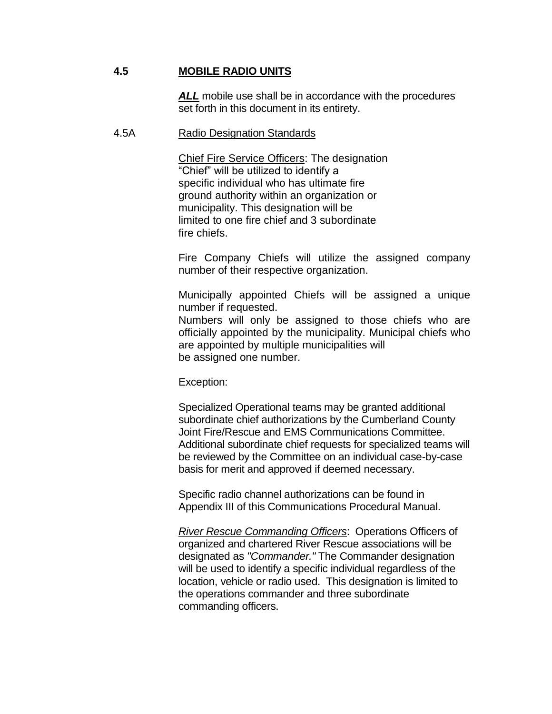#### **4.5 MOBILE RADIO UNITS**

*ALL* mobile use shall be in accordance with the procedures set forth in this document in its entirety.

#### 4.5A Radio Designation Standards

Chief Fire Service Officers: The designation "Chief" will be utilized to identify a specific individual who has ultimate fire ground authority within an organization or municipality. This designation will be limited to one fire chief and 3 subordinate fire chiefs.

Fire Company Chiefs will utilize the assigned company number of their respective organization.

Municipally appointed Chiefs will be assigned a unique number if requested.

Numbers will only be assigned to those chiefs who are officially appointed by the municipality. Municipal chiefs who are appointed by multiple municipalities will be assigned one number.

Exception:

Specialized Operational teams may be granted additional subordinate chief authorizations by the Cumberland County Joint Fire/Rescue and EMS Communications Committee. Additional subordinate chief requests for specialized teams will be reviewed by the Committee on an individual case-by-case basis for merit and approved if deemed necessary.

Specific radio channel authorizations can be found in Appendix III of this Communications Procedural Manual.

*River Rescue Commanding Officers*: Operations Officers of organized and chartered River Rescue associations will be designated as *"Commander."* The Commander designation will be used to identify a specific individual regardless of the location, vehicle or radio used. This designation is limited to the operations commander and three subordinate commanding officers.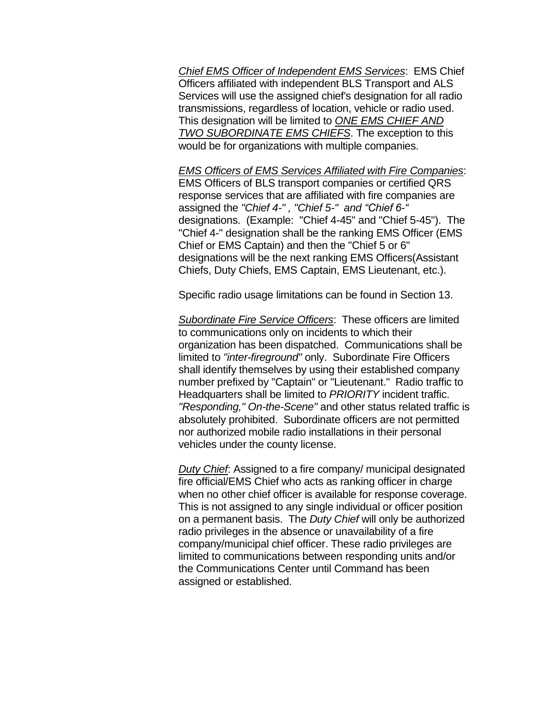*Chief EMS Officer of Independent EMS Services*: EMS Chief Officers affiliated with independent BLS Transport and ALS Services will use the assigned chief's designation for all radio transmissions, regardless of location, vehicle or radio used. This designation will be limited to *ONE EMS CHIEF AND TWO SUBORDINATE EMS CHIEFS*. The exception to this would be for organizations with multiple companies.

*EMS Officers of EMS Services Affiliated with Fire Companies*: EMS Officers of BLS transport companies or certified QRS response services that are affiliated with fire companies are assigned the *"Chief 4-" , "Chief 5-" and "Chief 6-"*  designations. (Example: "Chief 4-45" and "Chief 5-45"). The "Chief 4-" designation shall be the ranking EMS Officer (EMS Chief or EMS Captain) and then the "Chief 5 or 6" designations will be the next ranking EMS Officers(Assistant Chiefs, Duty Chiefs, EMS Captain, EMS Lieutenant, etc.).

Specific radio usage limitations can be found in Section 13.

*Subordinate Fire Service Officers*: These officers are limited to communications only on incidents to which their organization has been dispatched. Communications shall be limited to *"inter-fireground"* only. Subordinate Fire Officers shall identify themselves by using their established company number prefixed by "Captain" or "Lieutenant." Radio traffic to Headquarters shall be limited to *PRIORITY* incident traffic. *"Responding," On-the-Scene"* and other status related traffic is absolutely prohibited. Subordinate officers are not permitted nor authorized mobile radio installations in their personal vehicles under the county license.

*Duty Chief*: Assigned to a fire company/ municipal designated fire official/EMS Chief who acts as ranking officer in charge when no other chief officer is available for response coverage. This is not assigned to any single individual or officer position on a permanent basis. The *Duty Chief* will only be authorized radio privileges in the absence or unavailability of a fire company/municipal chief officer. These radio privileges are limited to communications between responding units and/or the Communications Center until Command has been assigned or established.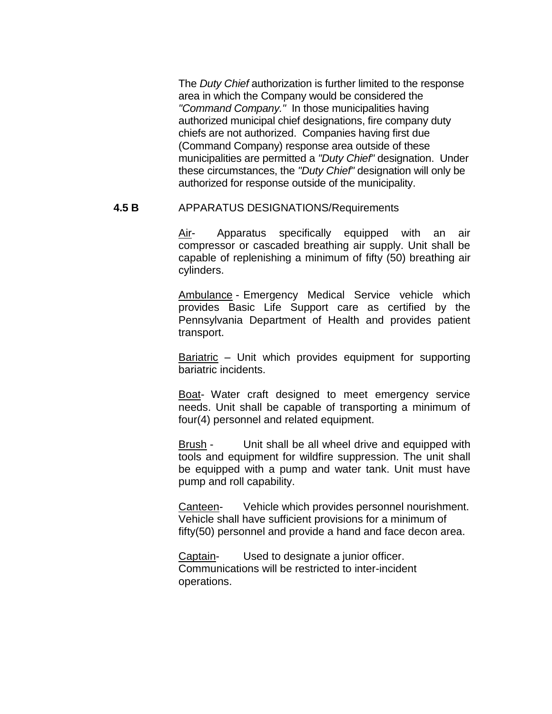The *Duty Chief* authorization is further limited to the response area in which the Company would be considered the *"Command Company."* In those municipalities having authorized municipal chief designations, fire company duty chiefs are not authorized. Companies having first due (Command Company) response area outside of these municipalities are permitted a *"Duty Chief"* designation. Under these circumstances, the *"Duty Chief"* designation will only be authorized for response outside of the municipality.

### **4.5 B** APPARATUS DESIGNATIONS/Requirements

Air- Apparatus specifically equipped with an air compressor or cascaded breathing air supply. Unit shall be capable of replenishing a minimum of fifty (50) breathing air cylinders.

Ambulance - Emergency Medical Service vehicle which provides Basic Life Support care as certified by the Pennsylvania Department of Health and provides patient transport.

Bariatric – Unit which provides equipment for supporting bariatric incidents.

Boat- Water craft designed to meet emergency service needs. Unit shall be capable of transporting a minimum of four(4) personnel and related equipment.

Brush - Unit shall be all wheel drive and equipped with tools and equipment for wildfire suppression. The unit shall be equipped with a pump and water tank. Unit must have pump and roll capability.

Canteen- Vehicle which provides personnel nourishment. Vehicle shall have sufficient provisions for a minimum of fifty(50) personnel and provide a hand and face decon area.

Captain- Used to designate a junior officer. Communications will be restricted to inter-incident operations.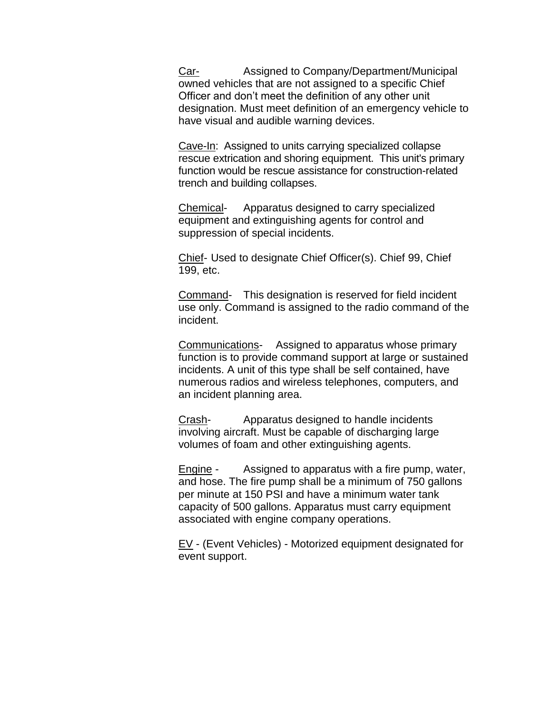Car- Assigned to Company/Department/Municipal owned vehicles that are not assigned to a specific Chief Officer and don't meet the definition of any other unit designation. Must meet definition of an emergency vehicle to have visual and audible warning devices.

Cave-In: Assigned to units carrying specialized collapse rescue extrication and shoring equipment. This unit's primary function would be rescue assistance for construction-related trench and building collapses.

Chemical- Apparatus designed to carry specialized equipment and extinguishing agents for control and suppression of special incidents.

Chief- Used to designate Chief Officer(s). Chief 99, Chief 199, etc.

Command- This designation is reserved for field incident use only. Command is assigned to the radio command of the incident.

Communications- Assigned to apparatus whose primary function is to provide command support at large or sustained incidents. A unit of this type shall be self contained, have numerous radios and wireless telephones, computers, and an incident planning area.

Crash-<br> **Crash-** Apparatus designed to handle incidents involving aircraft. Must be capable of discharging large volumes of foam and other extinguishing agents.

**Engine -** Assigned to apparatus with a fire pump, water, and hose. The fire pump shall be a minimum of 750 gallons per minute at 150 PSI and have a minimum water tank capacity of 500 gallons. Apparatus must carry equipment associated with engine company operations.

EV - (Event Vehicles) - Motorized equipment designated for event support.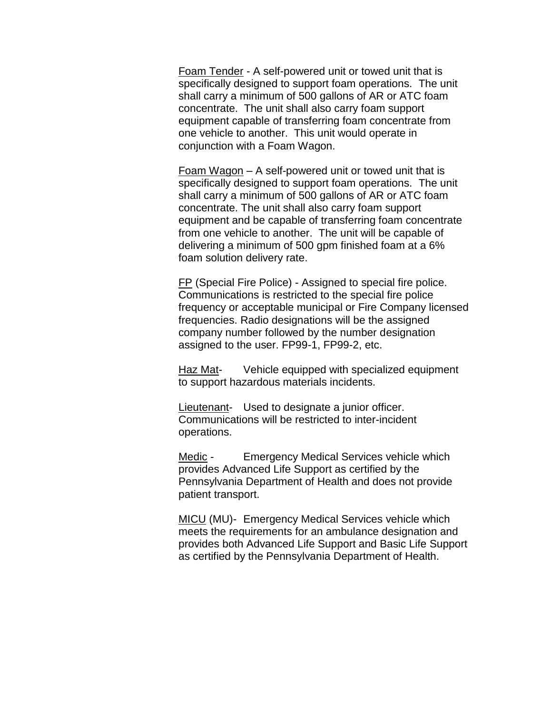Foam Tender - A self-powered unit or towed unit that is specifically designed to support foam operations. The unit shall carry a minimum of 500 gallons of AR or ATC foam concentrate. The unit shall also carry foam support equipment capable of transferring foam concentrate from one vehicle to another. This unit would operate in conjunction with a Foam Wagon.

Foam Wagon – A self-powered unit or towed unit that is specifically designed to support foam operations. The unit shall carry a minimum of 500 gallons of AR or ATC foam concentrate. The unit shall also carry foam support equipment and be capable of transferring foam concentrate from one vehicle to another. The unit will be capable of delivering a minimum of 500 gpm finished foam at a 6% foam solution delivery rate.

FP (Special Fire Police) - Assigned to special fire police. Communications is restricted to the special fire police frequency or acceptable municipal or Fire Company licensed frequencies. Radio designations will be the assigned company number followed by the number designation assigned to the user. FP99-1, FP99-2, etc.

Haz Mat- Vehicle equipped with specialized equipment to support hazardous materials incidents.

Lieutenant- Used to designate a junior officer. Communications will be restricted to inter-incident operations.

Medic - Emergency Medical Services vehicle which provides Advanced Life Support as certified by the Pennsylvania Department of Health and does not provide patient transport.

MICU (MU)- Emergency Medical Services vehicle which meets the requirements for an ambulance designation and provides both Advanced Life Support and Basic Life Support as certified by the Pennsylvania Department of Health.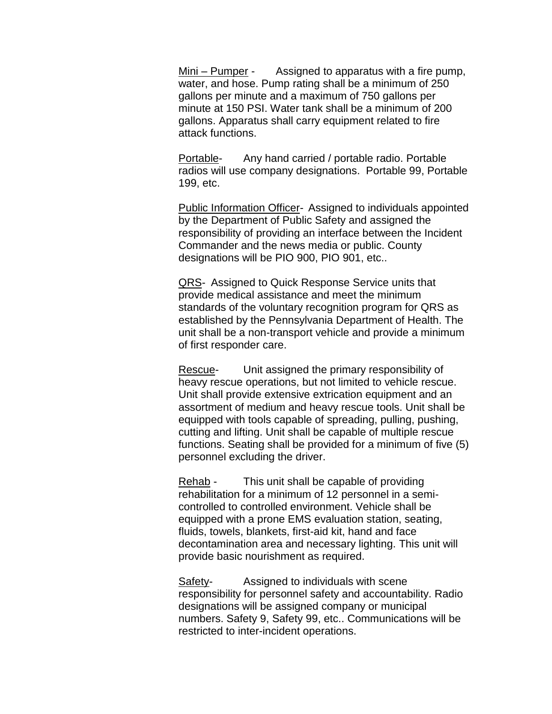Mini – Pumper - Assigned to apparatus with a fire pump, water, and hose. Pump rating shall be a minimum of 250 gallons per minute and a maximum of 750 gallons per minute at 150 PSI. Water tank shall be a minimum of 200 gallons. Apparatus shall carry equipment related to fire attack functions.

Portable- Any hand carried / portable radio. Portable radios will use company designations. Portable 99, Portable 199, etc.

Public Information Officer- Assigned to individuals appointed by the Department of Public Safety and assigned the responsibility of providing an interface between the Incident Commander and the news media or public. County designations will be PIO 900, PIO 901, etc..

QRS- Assigned to Quick Response Service units that provide medical assistance and meet the minimum standards of the voluntary recognition program for QRS as established by the Pennsylvania Department of Health. The unit shall be a non-transport vehicle and provide a minimum of first responder care.

Rescue- Unit assigned the primary responsibility of heavy rescue operations, but not limited to vehicle rescue. Unit shall provide extensive extrication equipment and an assortment of medium and heavy rescue tools. Unit shall be equipped with tools capable of spreading, pulling, pushing, cutting and lifting. Unit shall be capable of multiple rescue functions. Seating shall be provided for a minimum of five (5) personnel excluding the driver.

Rehab - This unit shall be capable of providing rehabilitation for a minimum of 12 personnel in a semicontrolled to controlled environment. Vehicle shall be equipped with a prone EMS evaluation station, seating, fluids, towels, blankets, first-aid kit, hand and face decontamination area and necessary lighting. This unit will provide basic nourishment as required.

Safety- Assigned to individuals with scene responsibility for personnel safety and accountability. Radio designations will be assigned company or municipal numbers. Safety 9, Safety 99, etc.. Communications will be restricted to inter-incident operations.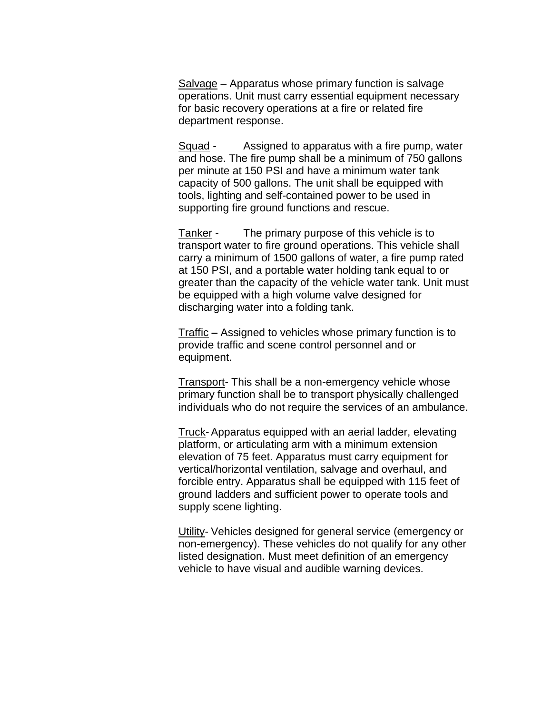Salvage – Apparatus whose primary function is salvage operations. Unit must carry essential equipment necessary for basic recovery operations at a fire or related fire department response.

Squad - Assigned to apparatus with a fire pump, water and hose. The fire pump shall be a minimum of 750 gallons per minute at 150 PSI and have a minimum water tank capacity of 500 gallons. The unit shall be equipped with tools, lighting and self-contained power to be used in supporting fire ground functions and rescue.

Tanker - The primary purpose of this vehicle is to transport water to fire ground operations. This vehicle shall carry a minimum of 1500 gallons of water, a fire pump rated at 150 PSI, and a portable water holding tank equal to or greater than the capacity of the vehicle water tank. Unit must be equipped with a high volume valve designed for discharging water into a folding tank.

Traffic **–** Assigned to vehicles whose primary function is to provide traffic and scene control personnel and or equipment.

Transport- This shall be a non-emergency vehicle whose primary function shall be to transport physically challenged individuals who do not require the services of an ambulance.

Truck-Apparatus equipped with an aerial ladder, elevating platform, or articulating arm with a minimum extension elevation of 75 feet. Apparatus must carry equipment for vertical/horizontal ventilation, salvage and overhaul, and forcible entry. Apparatus shall be equipped with 115 feet of ground ladders and sufficient power to operate tools and supply scene lighting.

Utility- Vehicles designed for general service (emergency or non-emergency). These vehicles do not qualify for any other listed designation. Must meet definition of an emergency vehicle to have visual and audible warning devices.